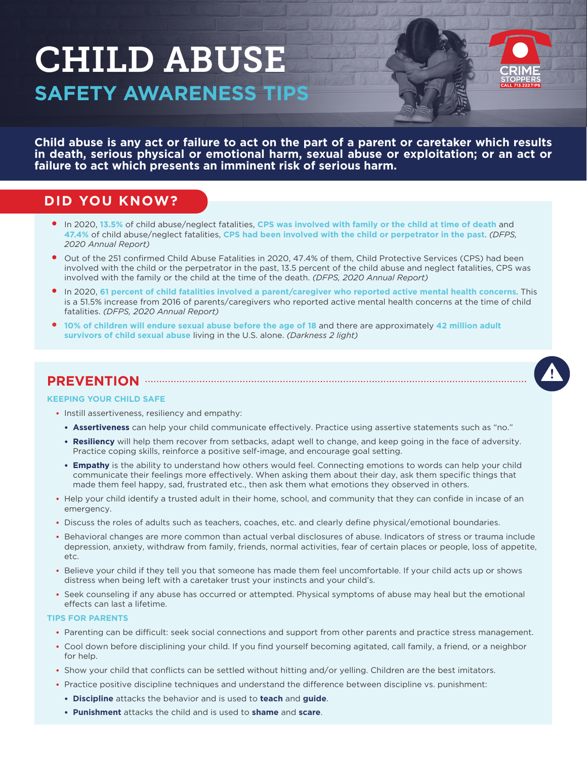# CHILD ABUSE **SAFETY AWARENESS TIPS**



**Child abuse is any act or failure to act on the part of a parent or caretaker which results in death, serious physical or emotional harm, sexual abuse or exploitation; or an act or failure to act which presents an imminent risk of serious harm.**

## **DID YOU KNOW?**

- y In 2020, **13.5%** of child abuse/neglect fatalities, **CPS was involved with family or the child at time of death** and **47.4%** of child abuse/neglect fatalities, **CPS had been involved with the child or perpetrator in the past**. *(DFPS, 2020 Annual Report)*
- Out of the 251 confirmed Child Abuse Fatalities in 2020, 47.4% of them, Child Protective Services (CPS) had been involved with the child or the perpetrator in the past, 13.5 percent of the child abuse and neglect fatalities, CPS was involved with the family or the child at the time of the death. *(DFPS, 2020 Annual Report)*
- y In 2020, **61 percent of child fatalities involved a parent/caregiver who reported active mental health concerns**. This is a 51.5% increase from 2016 of parents/caregivers who reported active mental health concerns at the time of child fatalities. *(DFPS, 2020 Annual Report)*
- y **10% of children will endure sexual abuse before the age of 18** and there are approximately **42 million adult survivors of child sexual abuse** living in the U.S. alone. *(Darkness 2 light)*

### **PREVENTION**

#### **KEEPING YOUR CHILD SAFE**

- Instill assertiveness, resiliency and empathy:
	- **• Assertiveness** can help your child communicate effectively. Practice using assertive statements such as "no."
	- **• Resiliency** will help them recover from setbacks, adapt well to change, and keep going in the face of adversity. Practice coping skills, reinforce a positive self-image, and encourage goal setting.
	- **• Empathy** is the ability to understand how others would feel. Connecting emotions to words can help your child communicate their feelings more effectively. When asking them about their day, ask them specific things that made them feel happy, sad, frustrated etc., then ask them what emotions they observed in others.
- Help your child identify a trusted adult in their home, school, and community that they can confide in incase of an emergency.
- Discuss the roles of adults such as teachers, coaches, etc. and clearly define physical/emotional boundaries.
- Behavioral changes are more common than actual verbal disclosures of abuse. Indicators of stress or trauma include depression, anxiety, withdraw from family, friends, normal activities, fear of certain places or people, loss of appetite, etc.
- Believe your child if they tell you that someone has made them feel uncomfortable. If your child acts up or shows distress when being left with a caretaker trust your instincts and your child's.
- Seek counseling if any abuse has occurred or attempted. Physical symptoms of abuse may heal but the emotional effects can last a lifetime.

#### **TIPS FOR PARENTS**

- Parenting can be difficult: seek social connections and support from other parents and practice stress management.
- Cool down before disciplining your child. If you find yourself becoming agitated, call family, a friend, or a neighbor for help.
- Show your child that conflicts can be settled without hitting and/or yelling. Children are the best imitators.
- Practice positive discipline techniques and understand the difference between discipline vs. punishment:
	- **• Discipline** attacks the behavior and is used to **teach** and **guide**.
	- **• Punishment** attacks the child and is used to **shame** and **scare**.